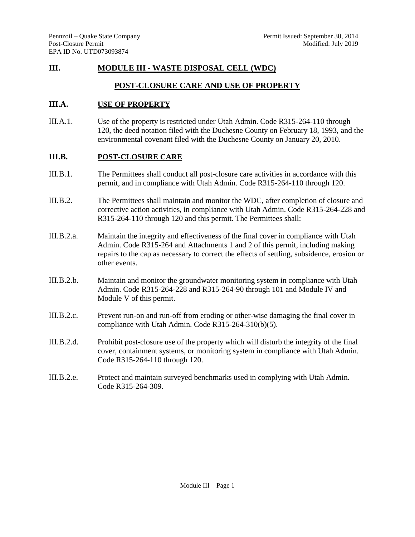# **III. MODULE III - WASTE DISPOSAL CELL (WDC)**

# **POST-CLOSURE CARE AND USE OF PROPERTY**

# **III.A. USE OF PROPERTY**

III.A.1. Use of the property is restricted under Utah Admin. Code R315-264-110 through 120, the deed notation filed with the Duchesne County on February 18, 1993, and the environmental covenant filed with the Duchesne County on January 20, 2010.

### **III.B. POST-CLOSURE CARE**

- III.B.1. The Permittees shall conduct all post-closure care activities in accordance with this permit, and in compliance with Utah Admin. Code R315-264-110 through 120.
- III.B.2. The Permittees shall maintain and monitor the WDC, after completion of closure and corrective action activities, in compliance with Utah Admin. Code R315-264-228 and R315-264-110 through 120 and this permit. The Permittees shall:
- III.B.2.a. Maintain the integrity and effectiveness of the final cover in compliance with Utah Admin. Code R315-264 and Attachments 1 and 2 of this permit, including making repairs to the cap as necessary to correct the effects of settling, subsidence, erosion or other events.
- III.B.2.b. Maintain and monitor the groundwater monitoring system in compliance with Utah Admin. Code R315-264-228 and R315-264-90 through 101 and Module IV and Module V of this permit.
- III.B.2.c. Prevent run-on and run-off from eroding or other-wise damaging the final cover in compliance with Utah Admin. Code R315-264-310(b)(5).
- III.B.2.d. Prohibit post-closure use of the property which will disturb the integrity of the final cover, containment systems, or monitoring system in compliance with Utah Admin. Code R315-264-110 through 120.
- III.B.2.e. Protect and maintain surveyed benchmarks used in complying with Utah Admin. Code R315-264-309.